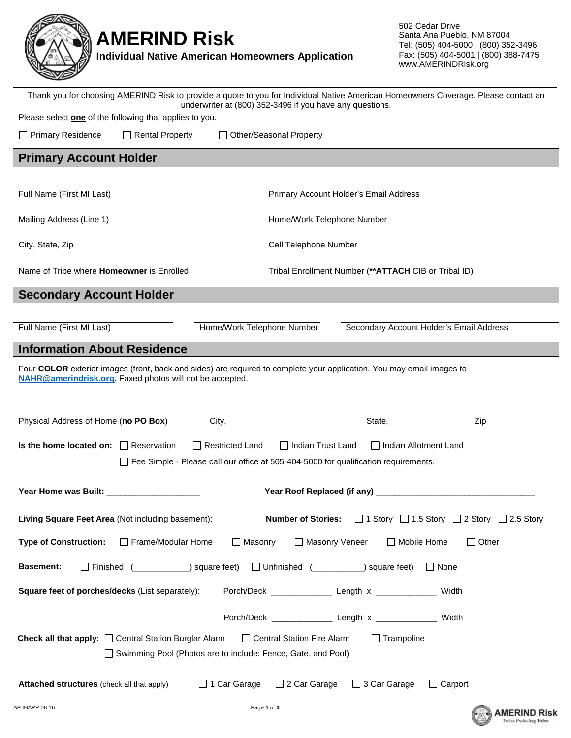

## **AMERIND Risk**

**Individual Native American Homeowners Application**

502 Cedar Drive Santa Ana Pueblo, NM 87004 Tel: (505) 404-5000 | (800) 352-3496 Fax: (505) 404-5001 | (800) 388-7475 www.AMERINDRisk.org

Thank you for choosing AMERIND Risk to provide a quote to you for Individual Native American Homeowners Coverage. Please contact an underwriter at (800) 352-3496 if you have any questions.

Please select **one** of the following that applies to you.

| $\Box$ Primary Residence | $\Box$ Rental Property | □ Other/Seasonal Property |
|--------------------------|------------------------|---------------------------|

**Primary Account Holder**

| Full Name (First MI Last)                        | Primary Account Holder's Email Address                       |
|--------------------------------------------------|--------------------------------------------------------------|
|                                                  |                                                              |
|                                                  |                                                              |
| Mailing Address (Line 1)                         | Home/Work Telephone Number                                   |
|                                                  |                                                              |
|                                                  |                                                              |
| City, State, Zip                                 | Cell Telephone Number                                        |
|                                                  |                                                              |
|                                                  |                                                              |
| Name of Tribe where <b>Homeowner</b> is Enrolled | Tribal Enrollment Number (** <b>ATTACH</b> CIB or Tribal ID) |
|                                                  |                                                              |
|                                                  |                                                              |
| <b>Secondary Account Holder</b>                  |                                                              |

Full Name (First MI Last) **Home/Work Telephone Number** Secondary Account Holder's Email Address

## **Information About Residence**

Four **COLOR** exterior images (front, back and sides) are required to complete your application. You may email images to **NAHR@amerindrisk.org.** Faxed photos will not be accepted.

| Physical Address of Home (no PO Box)                                                                                   |                                                              | City,                  |                                                                                            | State,                  | Zip                                                                                                                         |  |  |
|------------------------------------------------------------------------------------------------------------------------|--------------------------------------------------------------|------------------------|--------------------------------------------------------------------------------------------|-------------------------|-----------------------------------------------------------------------------------------------------------------------------|--|--|
| Is the home located on: $\Box$ Reservation                                                                             | $\perp$                                                      | <b>Restricted Land</b> | $\Box$ Indian Trust Land                                                                   | I Indian Allotment Land |                                                                                                                             |  |  |
|                                                                                                                        |                                                              |                        | $\Box$ Fee Simple - Please call our office at 505-404-5000 for qualification requirements. |                         |                                                                                                                             |  |  |
| Year Home was Built: ______________________                                                                            |                                                              |                        |                                                                                            |                         |                                                                                                                             |  |  |
|                                                                                                                        |                                                              |                        |                                                                                            |                         | Living Square Feet Area (Not including basement): __________ Number of Stories: □ 1 Story □ 1.5 Story □ 2 Story □ 2.5 Story |  |  |
| Type of Construction: □ Frame/Modular Home                                                                             |                                                              | $\Box$ Masonry         | □ Masonry Veneer                                                                           | Mobile Home             | $\Box$ Other                                                                                                                |  |  |
| <b>Basement:</b><br>$\Box$ None                                                                                        |                                                              |                        |                                                                                            |                         |                                                                                                                             |  |  |
| Porch/Deck ________________ Length x _______________ Width<br>Square feet of porches/decks (List separately):          |                                                              |                        |                                                                                            |                         |                                                                                                                             |  |  |
|                                                                                                                        |                                                              |                        |                                                                                            |                         | Width                                                                                                                       |  |  |
| <b>Check all that apply:</b> $\Box$ Central Station Burglar Alarm<br>□ Central Station Fire Alarm<br>$\Box$ Trampoline |                                                              |                        |                                                                                            |                         |                                                                                                                             |  |  |
|                                                                                                                        | Swimming Pool (Photos are to include: Fence, Gate, and Pool) |                        |                                                                                            |                         |                                                                                                                             |  |  |
| <b>Attached structures</b> (check all that apply)                                                                      |                                                              | □ 1 Car Garage         | □ 2 Car Garage □ 3 Car Garage                                                              |                         | Carport                                                                                                                     |  |  |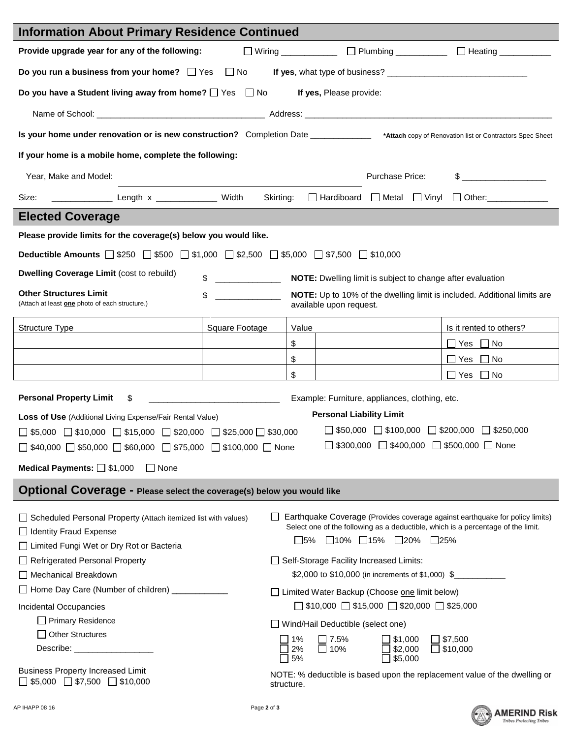| <b>Information About Primary Residence Continued</b>                                                                                            |                |                                                                                  |                                                                                                         |                                                |                                  |  |                                                                              |
|-------------------------------------------------------------------------------------------------------------------------------------------------|----------------|----------------------------------------------------------------------------------|---------------------------------------------------------------------------------------------------------|------------------------------------------------|----------------------------------|--|------------------------------------------------------------------------------|
| Provide upgrade year for any of the following:                                                                                                  |                |                                                                                  |                                                                                                         |                                                |                                  |  | □ Wiring ______________ □ Plumbing __________ □ Heating __________           |
|                                                                                                                                                 |                |                                                                                  |                                                                                                         |                                                |                                  |  |                                                                              |
| Do you have a Student living away from home? $\Box$ Yes $\Box$ No                                                                               |                |                                                                                  |                                                                                                         | If yes, Please provide:                        |                                  |  |                                                                              |
|                                                                                                                                                 |                |                                                                                  |                                                                                                         |                                                |                                  |  |                                                                              |
| Is your home under renovation or is new construction? Completion Date ____________ *Attach copy of Renovation list or Contractors Spec Sheet    |                |                                                                                  |                                                                                                         |                                                |                                  |  |                                                                              |
| If your home is a mobile home, complete the following:                                                                                          |                |                                                                                  |                                                                                                         |                                                |                                  |  |                                                                              |
| $\frac{1}{2}$<br>Year, Make and Model:<br>Purchase Price:                                                                                       |                |                                                                                  |                                                                                                         |                                                |                                  |  |                                                                              |
| Size: ________________________ Length x ______________________ Width                                                                            |                |                                                                                  |                                                                                                         |                                                |                                  |  | Skirting: Hardiboard Metal Vinyl Other:                                      |
| <b>Elected Coverage</b>                                                                                                                         |                |                                                                                  |                                                                                                         |                                                |                                  |  |                                                                              |
| Please provide limits for the coverage(s) below you would like.                                                                                 |                |                                                                                  |                                                                                                         |                                                |                                  |  |                                                                              |
| <b>Deductible Amounts</b> $\Box$ \$250 $\Box$ \$500 $\Box$ \$1,000 $\Box$ \$2,500 $\Box$ \$5,000 $\Box$ \$7,500 $\Box$ \$10,000                 |                |                                                                                  |                                                                                                         |                                                |                                  |  |                                                                              |
| Dwelling Coverage Limit (cost to rebuild)                                                                                                       | \$             |                                                                                  |                                                                                                         |                                                |                                  |  | NOTE: Dwelling limit is subject to change after evaluation                   |
| <b>Other Structures Limit</b>                                                                                                                   | \$             |                                                                                  |                                                                                                         |                                                |                                  |  | NOTE: Up to 10% of the dwelling limit is included. Additional limits are     |
| (Attach at least one photo of each structure.)                                                                                                  |                |                                                                                  |                                                                                                         | available upon request.                        |                                  |  |                                                                              |
| Structure Type                                                                                                                                  | Square Footage |                                                                                  | Value                                                                                                   |                                                |                                  |  | Is it rented to others?                                                      |
|                                                                                                                                                 |                |                                                                                  | \$                                                                                                      |                                                |                                  |  | ■ Yes No                                                                     |
|                                                                                                                                                 |                |                                                                                  | \$                                                                                                      |                                                |                                  |  | $\Box$ Yes $\Box$ No                                                         |
|                                                                                                                                                 |                |                                                                                  | \$                                                                                                      |                                                |                                  |  | $\Box$ Yes $\Box$ No                                                         |
| <b>Personal Property Limit</b><br>\$                                                                                                            |                |                                                                                  |                                                                                                         | Example: Furniture, appliances, clothing, etc. |                                  |  |                                                                              |
| <b>Loss of Use (Additional Living Expense/Fair Rental Value)</b>                                                                                |                |                                                                                  |                                                                                                         | <b>Personal Liability Limit</b>                |                                  |  |                                                                              |
| $\Box$ \$5,000 $\Box$ \$10,000 $\Box$ \$15,000 $\Box$ \$20,000 $\Box$ \$25,000 $\Box$ \$30,000                                                  |                |                                                                                  |                                                                                                         |                                                |                                  |  | $\Box$ \$50,000 $\Box$ \$100,000 $\Box$ \$200,000 $\Box$ \$250,000           |
|                                                                                                                                                 |                |                                                                                  |                                                                                                         |                                                |                                  |  | $\Box$ \$300,000 $\Box$ \$400,000 $\Box$ \$500,000 $\Box$ None               |
| $\Box$ \$40,000 $\Box$ \$50,000 $\Box$ \$60,000 $\Box$ \$75,000 $\Box$ \$100,000 $\Box$ None<br>Medical Payments: $\Box$ \$1,000<br>$\Box$ None |                |                                                                                  |                                                                                                         |                                                |                                  |  |                                                                              |
|                                                                                                                                                 |                |                                                                                  |                                                                                                         |                                                |                                  |  |                                                                              |
| Optional Coverage - Please select the coverage(s) below you would like                                                                          |                |                                                                                  |                                                                                                         |                                                |                                  |  |                                                                              |
| Scheduled Personal Property (Attach itemized list with values)                                                                                  |                |                                                                                  |                                                                                                         |                                                |                                  |  | Earthquake Coverage (Provides coverage against earthquake for policy limits) |
| $\Box$ Identity Fraud Expense                                                                                                                   |                | Select one of the following as a deductible, which is a percentage of the limit. |                                                                                                         |                                                |                                  |  |                                                                              |
| □ Limited Fungi Wet or Dry Rot or Bacteria                                                                                                      |                |                                                                                  | $\square$ 5% $\square$ 10% $\square$ 15% $\square$ 20% $\square$ 25%                                    |                                                |                                  |  |                                                                              |
| Refrigerated Personal Property                                                                                                                  |                | Self-Storage Facility Increased Limits:                                          |                                                                                                         |                                                |                                  |  |                                                                              |
| Mechanical Breakdown                                                                                                                            |                | \$2,000 to \$10,000 (in increments of \$1,000) \$                                |                                                                                                         |                                                |                                  |  |                                                                              |
| □ Home Day Care (Number of children) _                                                                                                          |                |                                                                                  | □ Limited Water Backup (Choose one limit below)                                                         |                                                |                                  |  |                                                                              |
| Incidental Occupancies                                                                                                                          |                | $\Box$ \$10,000 $\Box$ \$15,000 $\Box$ \$20,000 $\Box$ \$25,000                  |                                                                                                         |                                                |                                  |  |                                                                              |
| Primary Residence                                                                                                                               |                | □ Wind/Hail Deductible (select one)                                              |                                                                                                         |                                                |                                  |  |                                                                              |
| □ Other Structures                                                                                                                              |                |                                                                                  | $\Box$ \$7,500<br>$\Box$ 1%<br>$\Box$ 7.5%<br>$\square$ \$1,000                                         |                                                |                                  |  |                                                                              |
| Describe: ____________________                                                                                                                  |                |                                                                                  |                                                                                                         | $\Box$ 10%                                     | $\Box$ \$2,000<br>$\Box$ \$5,000 |  | $\Box$ \$10,000                                                              |
| <b>Business Property Increased Limit</b><br>$\Box$ \$5,000 $\Box$ \$7,500 $\Box$ \$10,000                                                       |                |                                                                                  | $\square$ 5%<br>NOTE: % deductible is based upon the replacement value of the dwelling or<br>structure. |                                                |                                  |  |                                                                              |

Ī